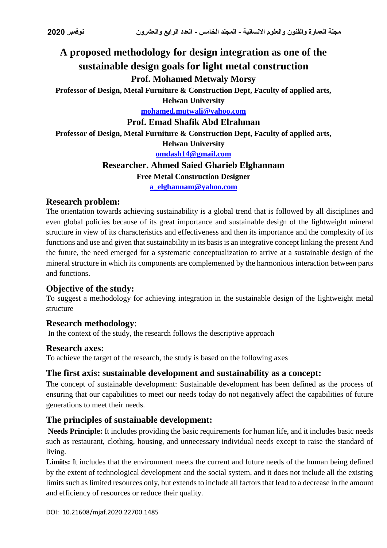# **A proposed methodology for design integration as one of the sustainable design goals for light metal construction Prof. Mohamed Metwaly Morsy**

**Professor of Design, Metal Furniture & Construction Dept, Faculty of applied arts, Helwan University**

**[mohamed.mutwali@yahoo.com](mailto:mohamed.mutwali@yahoo.com)**

**Prof. Emad Shafik Abd Elrahman**

**Professor of Design, Metal Furniture & Construction Dept, Faculty of applied arts, Helwan University**

**[omdash14@gmail.com](mailto:omdash14@gmail.com)**

## **Researcher. Ahmed Saied Gharieb Elghannam**

#### **Free Metal Construction Designer**

**[a\\_elghannam@yahoo.com](mailto:a_elghannam@yahoo.com)**

#### **Research problem:**

The orientation towards achieving sustainability is a global trend that is followed by all disciplines and even global policies because of its great importance and sustainable design of the lightweight mineral structure in view of its characteristics and effectiveness and then its importance and the complexity of its functions and use and given that sustainability in its basis is an integrative concept linking the present And the future, the need emerged for a systematic conceptualization to arrive at a sustainable design of the mineral structure in which its components are complemented by the harmonious interaction between parts and functions.

## **Objective of the study:**

To suggest a methodology for achieving integration in the sustainable design of the lightweight metal structure

#### **Research methodology**:

In the context of the study, the research follows the descriptive approach

#### **Research axes:**

To achieve the target of the research, the study is based on the following axes

## **The first axis: sustainable development and sustainability as a concept:**

The concept of sustainable development: Sustainable development has been defined as the process of ensuring that our capabilities to meet our needs today do not negatively affect the capabilities of future generations to meet their needs.

## **The principles of sustainable development:**

**Needs Principle:** It includes providing the basic requirements for human life, and it includes basic needs such as restaurant, clothing, housing, and unnecessary individual needs except to raise the standard of living.

Limits: It includes that the environment meets the current and future needs of the human being defined by the extent of technological development and the social system, and it does not include all the existing limits such as limited resources only, but extends to include all factors that lead to a decrease in the amount and efficiency of resources or reduce their quality.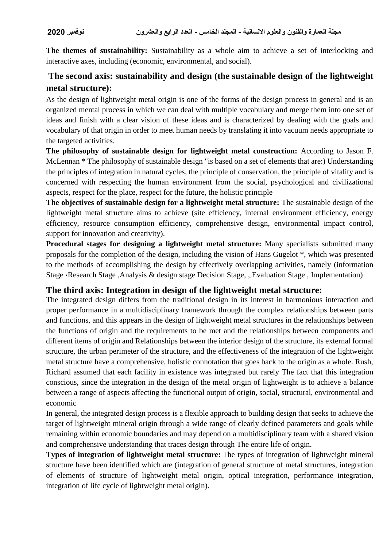**The themes of sustainability:** Sustainability as a whole aim to achieve a set of interlocking and interactive axes, including (economic, environmental, and social).

## **The second axis: sustainability and design (the sustainable design of the lightweight metal structure):**

As the design of lightweight metal origin is one of the forms of the design process in general and is an organized mental process in which we can deal with multiple vocabulary and merge them into one set of ideas and finish with a clear vision of these ideas and is characterized by dealing with the goals and vocabulary of that origin in order to meet human needs by translating it into vacuum needs appropriate to the targeted activities.

**The philosophy of sustainable design for lightweight metal construction:** According to Jason F. McLennan \* The philosophy of sustainable design "is based on a set of elements that are:) Understanding the principles of integration in natural cycles, the principle of conservation, the principle of vitality and is concerned with respecting the human environment from the social, psychological and civilizational aspects, respect for the place, respect for the future, the holistic principle

**The objectives of sustainable design for a lightweight metal structure:** The sustainable design of the lightweight metal structure aims to achieve (site efficiency, internal environment efficiency, energy efficiency, resource consumption efficiency, comprehensive design, environmental impact control, support for innovation and creativity).

**Procedural stages for designing a lightweight metal structure:** Many specialists submitted many proposals for the completion of the design, including the vision of Hans Gugelot \*, which was presented to the methods of accomplishing the design by effectively overlapping activities, namely (information Stage ،Research Stage ,Analysis & design stage Decision Stage, , Evaluation Stage , Implementation)

#### **The third axis: Integration in design of the lightweight metal structure:**

The integrated design differs from the traditional design in its interest in harmonious interaction and proper performance in a multidisciplinary framework through the complex relationships between parts and functions, and this appears in the design of lightweight metal structures in the relationships between the functions of origin and the requirements to be met and the relationships between components and different items of origin and Relationships between the interior design of the structure, its external formal structure, the urban perimeter of the structure, and the effectiveness of the integration of the lightweight metal structure have a comprehensive, holistic connotation that goes back to the origin as a whole. Rush, Richard assumed that each facility in existence was integrated but rarely The fact that this integration conscious, since the integration in the design of the metal origin of lightweight is to achieve a balance between a range of aspects affecting the functional output of origin, social, structural, environmental and economic

In general, the integrated design process is a flexible approach to building design that seeks to achieve the target of lightweight mineral origin through a wide range of clearly defined parameters and goals while remaining within economic boundaries and may depend on a multidisciplinary team with a shared vision and comprehensive understanding that traces design through The entire life of origin.

**Types of integration of lightweight metal structure:** The types of integration of lightweight mineral structure have been identified which are (integration of general structure of metal structures, integration of elements of structure of lightweight metal origin, optical integration, performance integration, integration of life cycle of lightweight metal origin).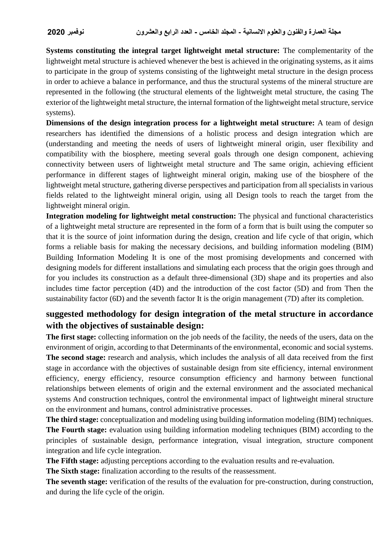**Systems constituting the integral target lightweight metal structure:** The complementarity of the lightweight metal structure is achieved whenever the best is achieved in the originating systems, as it aims to participate in the group of systems consisting of the lightweight metal structure in the design process in order to achieve a balance in performance, and thus the structural systems of the mineral structure are represented in the following (the structural elements of the lightweight metal structure, the casing The exterior of the lightweight metal structure, the internal formation of the lightweight metal structure, service systems).

**Dimensions of the design integration process for a lightweight metal structure:** A team of design researchers has identified the dimensions of a holistic process and design integration which are (understanding and meeting the needs of users of lightweight mineral origin, user flexibility and compatibility with the biosphere, meeting several goals through one design component, achieving connectivity between users of lightweight metal structure and The same origin, achieving efficient performance in different stages of lightweight mineral origin, making use of the biosphere of the lightweight metal structure, gathering diverse perspectives and participation from all specialists in various fields related to the lightweight mineral origin, using all Design tools to reach the target from the lightweight mineral origin.

**Integration modeling for lightweight metal construction:** The physical and functional characteristics of a lightweight metal structure are represented in the form of a form that is built using the computer so that it is the source of joint information during the design, creation and life cycle of that origin, which forms a reliable basis for making the necessary decisions, and building information modeling (BIM) Building Information Modeling It is one of the most promising developments and concerned with designing models for different installations and simulating each process that the origin goes through and for you includes its construction as a default three-dimensional (3D) shape and its properties and also includes time factor perception (4D) and the introduction of the cost factor (5D) and from Then the sustainability factor (6D) and the seventh factor It is the origin management (7D) after its completion.

## **suggested methodology for design integration of the metal structure in accordance with the objectives of sustainable design:**

**The first stage:** collecting information on the job needs of the facility, the needs of the users, data on the environment of origin, according to that Determinants of the environmental, economic and social systems. **The second stage:** research and analysis, which includes the analysis of all data received from the first stage in accordance with the objectives of sustainable design from site efficiency, internal environment efficiency, energy efficiency, resource consumption efficiency and harmony between functional relationships between elements of origin and the external environment and the associated mechanical systems And construction techniques, control the environmental impact of lightweight mineral structure on the environment and humans, control administrative processes.

**The third stage:** conceptualization and modeling using building information modeling (BIM) techniques. **The Fourth stage:** evaluation using building information modeling techniques (BIM) according to the principles of sustainable design, performance integration, visual integration, structure component integration and life cycle integration.

**The Fifth stage:** adjusting perceptions according to the evaluation results and re-evaluation.

**The Sixth stage:** finalization according to the results of the reassessment.

**The seventh stage:** verification of the results of the evaluation for pre-construction, during construction, and during the life cycle of the origin.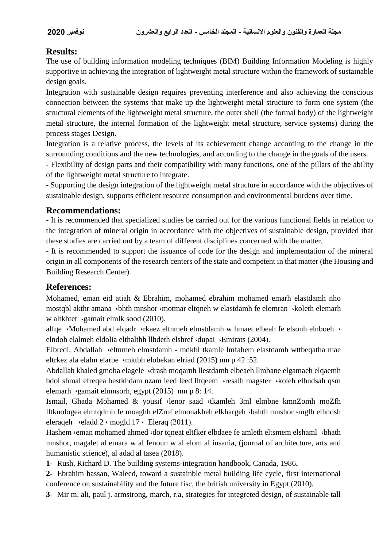## **Results:**

The use of building information modeling techniques (BIM) Building Information Modeling is highly supportive in achieving the integration of lightweight metal structure within the framework of sustainable design goals.

Integration with sustainable design requires preventing interference and also achieving the conscious connection between the systems that make up the lightweight metal structure to form one system (the structural elements of the lightweight metal structure, the outer shell (the formal body) of the lightweight metal structure, the internal formation of the lightweight metal structure, service systems) during the process stages Design.

Integration is a relative process, the levels of its achievement change according to the change in the surrounding conditions and the new technologies, and according to the change in the goals of the users.

- Flexibility of design parts and their compatibility with many functions, one of the pillars of the ability of the lightweight metal structure to integrate.

- Supporting the design integration of the lightweight metal structure in accordance with the objectives of sustainable design, supports efficient resource consumption and environmental burdens over time.

## **Recommendations:**

- It is recommended that specialized studies be carried out for the various functional fields in relation to the integration of mineral origin in accordance with the objectives of sustainable design, provided that these studies are carried out by a team of different disciplines concerned with the matter.

- It is recommended to support the issuance of code for the design and implementation of the mineral origin in all components of the research centers of the state and competent in that matter (the Housing and Building Research Center).

## **References:**

Mohamed, eman eid atiah & Ebrahim, mohamed ebrahim mohamed emarh elastdamh nho mostqbl akthr amana ·bhth mnshor ·motmar eltqneh w elastdamh fe elomran ·koleth elemarh w altkhtet ،gamait elmlk sood (2010).

alfqe «Mohamed abd elqadr «rkaez eltnmeh elmstdamh w hmaet elbeah fe elsonh elnboeh » elndoh elalmeh eldolia elthalthh llhdeth elshref «dupai «Emirats (2004).

Elbredi, Abdallah «eltnmeh elmstdamh - mdkhl tkamle lmfahem elastdamh wttbeqatha mae eltrkez ala elalm elarbe ،mktbh elobekan elriad (2015) mn p 42 :52.

Abdallah khaled gmoha elagele «drash moqarnh llestdamh elbeaeh llmbane elgamaeh elqaemh bdol shmal efreqea bestkhdam nzam leed leed lltqeem «resalh magster «koleh elhndsah qsm elemarh ،gamait elmnsorh, egypt (2015) mn p 8: 14.

Ismail, Ghada Mohamed & yousif ،lenor saad ،tkamleh 3ml elmbne kmnZomh moZfh lltknologea elmtqdmh fe moaghh elZrof elmonakheh elkhargeh ،bahth mnshor ،mglh elhndsh eleraqeh «eladd 2 « mogld 17 « Eleraq (2011).

Hashem «eman mohamed ahmed «dor tqneat eltfker elbdaee fe amleth eltsmem elshaml «bhath mnshor, magalet al emara w al fenoun w al elom al insania, (journal of architecture, arts and humanistic science), al adad al tasea (2018).

**1-** Rush, Richard D. The building systems-integration handbook, Canada, 1986**.**

**2-** Ebrahim hassan, Waleed, toward a sustainble metal building life cycle, first international conference on sustainability and the future fisc, the british university in Egypt (2010).

**3-** Mir m. ali, paul j. armstrong, march, r.a, strategies for integreted design, of sustainable tall